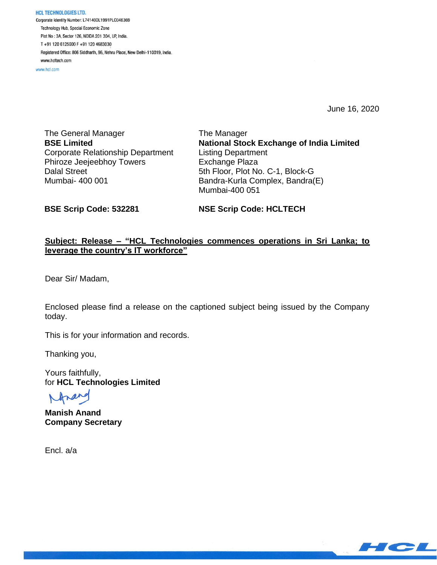**HCL TECHNOLOGIES LTD.** Corporate Identity Number: L74140DL1991PLC046369 Technology Hub, Special Economic Zone Plot No: 3A, Sector 126, NOIDA 201 304, UP, India. T+91 120 6125000 F+91 120 4683030 Registered Office: 806 Siddharth, 96, Nehru Place, New Delhi-110019, India. www.hcltech.com

www.hcl.com

June 16, 2020

The General Manager **BSE Limited** Corporate Relationship Department Phiroze Jeejeebhoy Towers Dalal Street Mumbai- 400 001

The Manager **National Stock Exchange of India Limited** Listing Department Exchange Plaza 5th Floor, Plot No. C-1, Block-G Bandra-Kurla Complex, Bandra(E) Mumbai-400 051

**BSE Scrip Code: 532281**

**NSE Scrip Code: HCLTECH**

## **Subject: Release – "HCL Technologies commences operations in Sri Lanka; to leverage the country's IT workforce"**

Dear Sir/ Madam,

Enclosed please find a release on the captioned subject being issued by the Company today.

This is for your information and records.

Thanking you,

Yours faithfully, for **HCL Technologies Limited**

**Manish Anand Company Secretary**

Encl. a/a

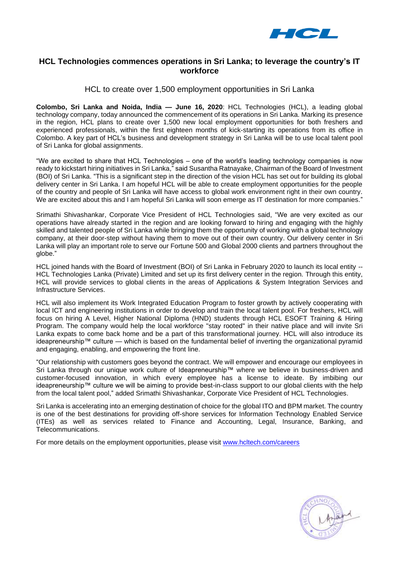

# **HCL Technologies commences operations in Sri Lanka; to leverage the country's IT workforce**

### HCL to create over 1,500 employment opportunities in Sri Lanka

**Colombo, Sri Lanka and Noida, India — June 16, 2020**: HCL Technologies (HCL), a leading global technology company, today announced the commencement of its operations in Sri Lanka. Marking its presence in the region, HCL plans to create over 1,500 new local employment opportunities for both freshers and experienced professionals, within the first eighteen months of kick-starting its operations from its office in Colombo. A key part of HCL's business and development strategy in Sri Lanka will be to use local talent pool of Sri Lanka for global assignments.

"We are excited to share that HCL Technologies – one of the world's leading technology companies is now ready to kickstart hiring initiatives in Sri Lanka," said Susantha Ratnayake, Chairman of the Board of Investment (BOI) of Sri Lanka. "This is a significant step in the direction of the vision HCL has set out for building its global delivery center in Sri Lanka. I am hopeful HCL will be able to create employment opportunities for the people of the country and people of Sri Lanka will have access to global work environment right in their own country. We are excited about this and I am hopeful Sri Lanka will soon emerge as IT destination for more companies.'

Srimathi Shivashankar, Corporate Vice President of HCL Technologies said, "We are very excited as our operations have already started in the region and are looking forward to hiring and engaging with the highly skilled and talented people of Sri Lanka while bringing them the opportunity of working with a global technology company, at their door-step without having them to move out of their own country. Our delivery center in Sri Lanka will play an important role to serve our Fortune 500 and Global 2000 clients and partners throughout the globe."

HCL joined hands with the Board of Investment (BOI) of Sri Lanka in February 2020 to launch its local entity -- HCL Technologies Lanka (Private) Limited and set up its first delivery center in the region. Through this entity, HCL will provide services to global clients in the areas of Applications & System Integration Services and Infrastructure Services.

HCL will also implement its Work Integrated Education Program to foster growth by actively cooperating with local ICT and engineering institutions in order to develop and train the local talent pool. For freshers, HCL will focus on hiring A Level, Higher National Diploma (HND) students through HCL ESOFT Training & Hiring Program. The company would help the local workforce "stay rooted" in their native place and will invite Sri Lanka expats to come back home and be a part of this transformational journey. HCL will also introduce its ideapreneurship™ culture — which is based on the fundamental belief of inverting the organizational pyramid and engaging, enabling, and empowering the front line.

"Our relationship with customers goes beyond the contract. We will empower and encourage our employees in Sri Lanka through our unique work culture of Ideapreneurship™ where we believe in business-driven and customer-focused innovation, in which every employee has a license to ideate. By imbibing our ideapreneurship™ culture we will be aiming to provide best-in-class support to our global clients with the help from the local talent pool," added Srimathi Shivashankar, Corporate Vice President of HCL Technologies.

Sri Lanka is accelerating into an emerging destination of choice for the global ITO and BPM market. The country is one of the best destinations for providing off-shore services for Information Technology Enabled Service (ITEs) as well as services related to Finance and Accounting, Legal, Insurance, Banking, and Telecommunications.

For more details on the employment opportunities, please visit [www.hcltech.com/careers](http://www.hcltech.com/careers)